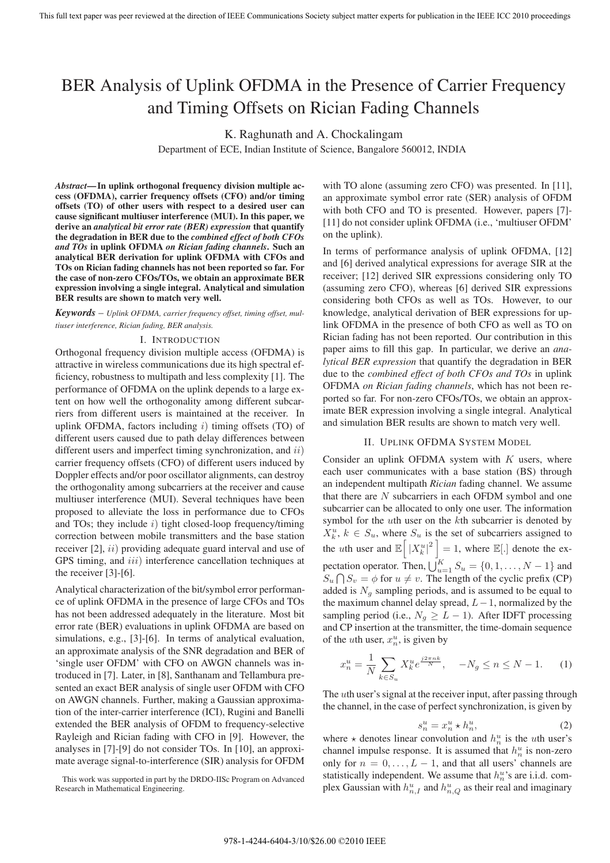# BER Analysis of Uplink OFDMA in the Presence of Carrier Frequency and Timing Offsets on Rician Fading Channels

K. Raghunath and A. Chockalingam

Department of ECE, Indian Institute of Science, Bangalore 560012, INDIA

*Abstract***—In uplink orthogonal frequency division multiple access (OFDMA), carrier frequency offsets (CFO) and/or timing offsets (TO) of other users with respect to a desired user can cause significant multiuser interference (MUI). In this paper, we derive an** *analytical bit error rate (BER) expression* **that quantify the degradation in BER due to the** *combined effect of both CFOs and TOs* **in uplink OFDMA** *on Rician fading channels***. Such an analytical BER derivation for uplink OFDMA with CFOs and TOs on Rician fading channels has not been reported so far. For the case of non-zero CFOs/TOs, we obtain an approximate BER expression involving a single integral. Analytical and simulation BER results are shown to match very well.**

*Keywords* – *Uplink OFDMA, carrier frequency offset, timing offset, multiuser interference, Rician fading, BER analysis.*

## I. INTRODUCTION

Orthogonal frequency division multiple access (OFDMA) is attractive in wireless communications due its high spectral efficiency, robustness to multipath and less complexity [1]. The performance of OFDMA on the uplink depends to a large extent on how well the orthogonality among different subcarriers from different users is maintained at the receiver. In uplink OFDMA, factors including  $i$ ) timing offsets (TO) of different users caused due to path delay differences between different users and imperfect timing synchronization, and  $ii$ ) carrier frequency offsets (CFO) of different users induced by Doppler effects and/or poor oscillator alignments, can destroy the orthogonality among subcarriers at the receiver and cause multiuser interference (MUI). Several techniques have been proposed to alleviate the loss in performance due to CFOs and TOs; they include  $i)$  tight closed-loop frequency/timing correction between mobile transmitters and the base station receiver [2], *ii*) providing adequate guard interval and use of GPS timing, and *iii*) interference cancellation techniques at the receiver [3]-[6].

Analytical characterization of the bit/symbol error performance of uplink OFDMA in the presence of large CFOs and TOs has not been addressed adequately in the literature. Most bit error rate (BER) evaluations in uplink OFDMA are based on simulations, e.g., [3]-[6]. In terms of analytical evaluation, an approximate analysis of the SNR degradation and BER of 'single user OFDM' with CFO on AWGN channels was introduced in [7]. Later, in [8], Santhanam and Tellambura presented an exact BER analysis of single user OFDM with CFO on AWGN channels. Further, making a Gaussian approximation of the inter-carrier interference (ICI), Rugini and Banelli extended the BER analysis of OFDM to frequency-selective Rayleigh and Rician fading with CFO in [9]. However, the analyses in [7]-[9] do not consider TOs. In [10], an approximate average signal-to-interference (SIR) analysis for OFDM

with TO alone (assuming zero CFO) was presented. In [11], an approximate symbol error rate (SER) analysis of OFDM with both CFO and TO is presented. However, papers [7]- [11] do not consider uplink OFDMA (i.e., 'multiuser OFDM' on the uplink).

In terms of performance analysis of uplink OFDMA, [12] and [6] derived analytical expressions for average SIR at the receiver; [12] derived SIR expressions considering only TO (assuming zero CFO), whereas [6] derived SIR expressions considering both CFOs as well as TOs. However, to our knowledge, analytical derivation of BER expressions for uplink OFDMA in the presence of both CFO as well as TO on Rician fading has not been reported. Our contribution in this paper aims to fill this gap. In particular, we derive an *analytical BER expression* that quantify the degradation in BER due to the *combined effect of both CFOs and TOs* in uplink OFDMA *on Rician fading channels*, which has not been reported so far. For non-zero CFOs/TOs, we obtain an approximate BER expression involving a single integral. Analytical and simulation BER results are shown to match very well.

### II. UPLINK OFDMA SYSTEM MODEL

Consider an uplink OFDMA system with  $K$  users, where each user communicates with a base station (BS) through an independent multipath *Rician* fading channel. We assume that there are  $N$  subcarriers in each OFDM symbol and one subcarrier can be allocated to only one user. The information symbol for the uth user on the kth subcarrier is denoted by  $X_k^u$ ,  $k \in S_u$ , where  $S_u$  is the set of subcarriers assigned to the *uth* user and  $\mathbb{E}\left[\left|X_k^u\right|^2\right] = 1$ , where  $\mathbb{E}[.]$  denote the expectation operator. Then,  $\bigcup_{u=1}^{K} S_u = \{0, 1, \ldots, N-1\}$  and  $S_u \bigcap S_v = \phi$  for  $u \neq v$ . The length of the cyclic prefix (CP) added is  $N_g$  sampling periods, and is assumed to be equal to the maximum channel delay spread,  $L-1$ , normalized by the sampling period (i.e.,  $N_g \geq L - 1$ ). After IDFT processing and CP insertion at the transmitter, the time-domain sequence of the *u*th user,  $x_n^u$ , is given by

$$
x_n^u = \frac{1}{N} \sum_{k \in S_u} X_k^u e^{\frac{j2\pi nk}{N}}, \quad -N_g \le n \le N - 1. \tag{1}
$$

The uth user's signal at the receiver input, after passing through the channel, in the case of perfect synchronization, is given by

$$
s_n^u = x_n^u \star h_n^u,\tag{2}
$$

where  $\star$  denotes linear convolution and  $h_n^u$  is the *uth* user's channel impulse response. It is assumed that  $h_n^u$  is non-zero only for  $n = 0, \ldots, L - 1$ , and that all users' channels are statistically independent. We assume that  $h_n^u$ 's are i.i.d. complex Gaussian with  $h_{n,I}^u$  and  $h_{n,Q}^u$  as their real and imaginary

This work was supported in part by the DRDO-IISc Program on Advanced Research in Mathematical Engineering.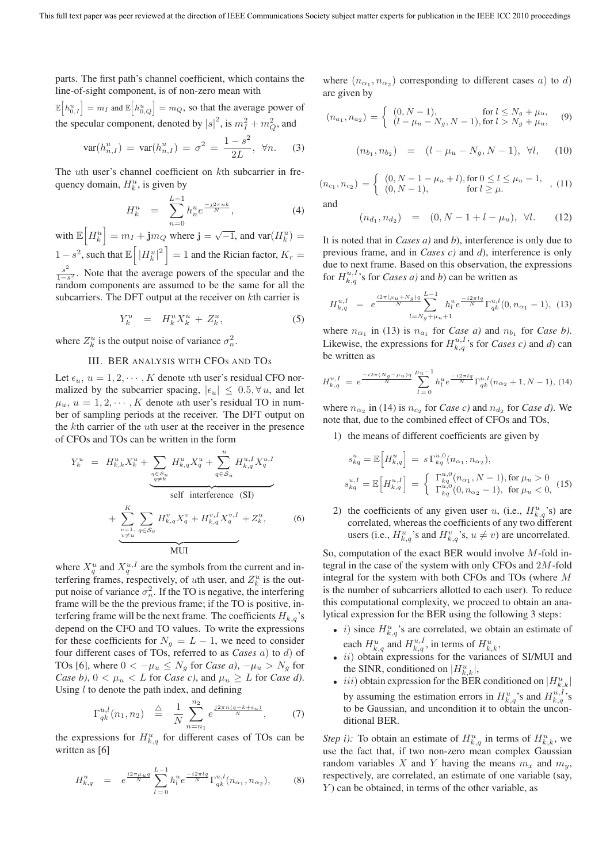parts. The first path's channel coefficient, which contains the line-of-sight component, is of non-zero mean with

 $\mathbb{E}\left[h_{0,I}^u\right] = m_I$  and  $\mathbb{E}\left[h_{0,Q}^u\right] = m_Q$ , so that the average power of the specular component, denoted by  $|s|^2$ , is  $m_I^2 + m_Q^2$ , and

$$
var(h_{n,I}^u) = var(h_{n,I}^u) = \sigma^2 = \frac{1 - s^2}{2L}, \ \forall n. \tag{3}
$$

The uth user's channel coefficient on kth subcarrier in frequency domain,  $H_k^u$ , is given by

$$
H_k^u = \sum_{n=0}^{L-1} h_n^u e^{\frac{-j2\pi nk}{N}}, \tag{4}
$$

with  $\mathbb{E}\left[H_k^u\right] = m_I + \mathbf{j}m_Q$  where  $\mathbf{j} = \sqrt{-1}$ , and  $\text{var}(H_k^u) =$  $1 - s^2$ , such that  $\mathbb{E} \left[ |H_k^u|^2 \right] = 1$  and the Rician factor,  $K_r =$  $\frac{s^2}{1-s^2}$ . Note that the average powers of the specular and the random components are assumed to be the same for all the subcarriers. The DFT output at the receiver on kth carrier is

$$
Y_k^u = H_k^u X_k^u + Z_k^u, \tag{5}
$$

where  $Z_k^u$  is the output noise of variance  $\sigma_n^2$ .

#### III. BER ANALYSIS WITH CFOS AND TOS

Let  $\epsilon_u$ ,  $u = 1, 2, \dots, K$  denote *uth* user's residual CFO normalized by the subcarrier spacing,  $|\epsilon_u| \leq 0.5, \forall u$ , and let  $\mu_u$ ,  $u = 1, 2, \dots, K$  denote *uth* user's residual TO in number of sampling periods at the receiver. The DFT output on the kth carrier of the uth user at the receiver in the presence of CFOs and TOs can be written in the form

$$
Y_k^u = H_{k,k}^u X_k^u + \sum_{\substack{q \in S_u \\ q \neq k}} H_{k,q}^u X_q^u + \sum_{q \in S_u} H_{k,q}^{u, I} X_q^{u, I}
$$
  
self interference (SI)  

$$
+ \sum_{\substack{v=1, \\ v \neq u}}^K \sum_{q \in S_v} H_{k,q}^v X_q^v + H_{k,q}^{v, I} X_q^{v, I} + Z_k^u,
$$
 (6)

where  $X_q^u$  and  $X_q^{u,I}$  are the symbols from the current and interfering frames, respectively, of *uth* user, and  $Z_k^u$  is the output noise of variance  $\sigma_n^2$ . If the TO is negative, the interfering frame will be the the previous frame; if the TO is positive, interfering frame will be the next frame. The coefficients  $H_{k,q}$ 's depend on the CFO and TO values. To write the expressions for these coefficients for  $N_q = L - 1$ , we need to consider four different cases of TOs, referred to as *Cases* a) to d) of TOs [6], where  $0 < -\mu_u \leq N_g$  for *Case a*),  $-\mu_u > N_g$  for *Case b)*,  $0 < \mu_u < L$  for *Case c)*, and  $\mu_u \geq L$  for *Case d)*. Using  $l$  to denote the path index, and defining

$$
\Gamma_{qk}^{u,l}(n_1, n_2) \triangleq \frac{1}{N} \sum_{n=n_1}^{n_2} e^{\frac{j2\pi n (q - k + \epsilon_u)}{N}}, \qquad (7)
$$

the expressions for  $H_{k,q}^u$  for different cases of TOs can be written as [6]

$$
H_{k,q}^u = e^{\frac{i2\pi\mu_u q}{N}} \sum_{l=0}^{L-1} h_l^u e^{\frac{-i2\pi l q}{N}} \Gamma_{qk}^{u,l}(n_{\alpha_1}, n_{\alpha_2}), \qquad (8)
$$

where  $(n_{\alpha_1}, n_{\alpha_2})$  corresponding to different cases a) to d) are given by

$$
(n_{a_1}, n_{a_2}) = \begin{cases} (0, N-1), & \text{for } l \le N_g + \mu_u, \\ (l - \mu_u - N_g, N-1), & \text{for } l > N_g + \mu_u, \end{cases}
$$
 (9)

$$
(n_{b_1}, n_{b_2}) = (l - \mu_u - N_g, N - 1), \forall l,
$$
 (10)

 $(n_{c_1}, n_{c_2}) = \begin{cases} (0, N - 1 - \mu_u + l), \text{for } 0 \le l \le \mu_u - 1, \\ (0, N - 1), \text{for } l \ge \mu. \end{cases}$ , (11)

and

$$
(n_{d_1}, n_{d_2}) = (0, N - 1 + l - \mu_u), \ \forall l. \tag{12}
$$

It is noted that in *Cases a)* and *b*), interference is only due to previous frame, and in *Cases c)* and *d*), interference is only due to next frame. Based on this observation, the expressions for  $H_{k,q}^{u,I}$ 's for *Cases a*) and *b*) can be written as

$$
H_{k,q}^{u,I} = e^{\frac{i2\pi(\mu_u + N_g)q}{N}} \sum_{l=N_g + \mu_u + 1}^{L-1} h_l^u e^{\frac{-i2\pi l_q}{N}} \Gamma_{qk}^{u,l}(0, n_{\alpha_1} - 1), \tag{13}
$$

where  $n_{\alpha_1}$  in (13) is  $n_{a_1}$  for *Case a)* and  $n_{b_1}$  for *Case b)*. Likewise, the expressions for  $H_{k,q}^{u,I}$ 's for *Cases c*) and *d*) can be written as

$$
H_{k,q}^{u,I} = e^{\frac{-i2\pi (N_g - \mu_u)q}{N}} \sum_{l=0}^{\mu_u - 1} h_l^u e^{\frac{-i2\pi lq}{N}} \Gamma_{qk}^{u,l} (n_{\alpha_2} + 1, N - 1), \tag{14}
$$

where  $n_{\alpha_2}$  in (14) is  $n_{c_2}$  for *Case c*) and  $n_{d_2}$  for *Case d*). We note that, due to the combined effect of CFOs and TOs,

1) the means of different coefficients are given by

$$
s_{kq}^{u} = \mathbb{E}\Big[H_{k,q}^{u}\Big] = s \Gamma_{kq}^{u,0}(n_{\alpha_1}, n_{\alpha_2}),
$$
  
\n
$$
s_{kq}^{u,I} = \mathbb{E}\Big[H_{k,q}^{u,I}\Big] = \begin{cases} \Gamma_{kq}^{u,0}(n_{\alpha_1}, N-1), \text{for } \mu_u > 0\\ \Gamma_{kq}^{u,0}(0, n_{\alpha_2} - 1), \text{ for } \mu_u < 0, \end{cases}
$$
(15)

2) the coefficients of any given user u, (i.e.,  $H_{k,q}^{u}$ 's) are correlated, whereas the coefficients of any two different users (i.e.,  $H_{k,q}^u$ 's and  $H_{k,q}^v$ 's,  $u \neq v$ ) are uncorrelated.

So, computation of the exact BER would involve  $M$ -fold integral in the case of the system with only CFOs and 2M-fold integral for the system with both CFOs and TOs (where M is the number of subcarriers allotted to each user). To reduce this computational complexity, we proceed to obtain an analytical expression for the BER using the following 3 steps:

- *i*) since  $H_{k,q}^u$ 's are correlated, we obtain an estimate of each  $H_{k,q}^u$  and  $H_{k,q}^{u,I}$ , in terms of  $H_{k,k}^u$ ,
- *ii*) obtain expressions for the variances of SI/MUI and the SINR, conditioned on  $|H_{k,k}^u|$ ,
- *iii*) obtain expression for the BER conditioned on  $|H_{k,k}^u|$ by assuming the estimation errors in  $H_{k,q}^u$ 's and  $H_{k,q}^{u,I}$ 's to be Gaussian, and uncondition it to obtain the unconditional BER.

*Step i)*: To obtain an estimate of  $H_{k,q}^u$  in terms of  $H_{k,k}^u$ , we use the fact that, if two non-zero mean complex Gaussian random variables X and Y having the means  $m_x$  and  $m_y$ , respectively, are correlated, an estimate of one variable (say,  $Y$ ) can be obtained, in terms of the other variable, as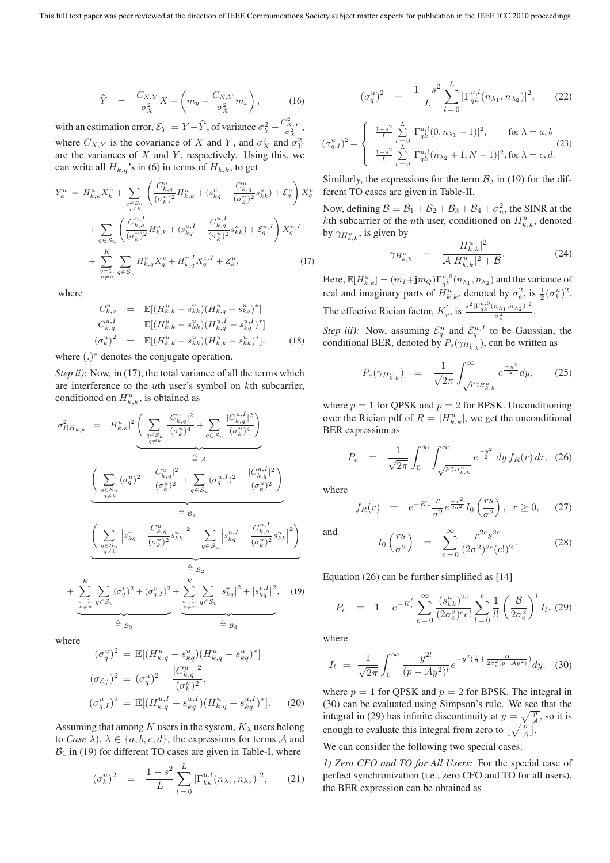$$
\widehat{Y} = \frac{C_{X,Y}}{\sigma_X^2} X + \left( m_y - \frac{C_{X,Y}}{\sigma_X^2} m_x \right), \quad (16)
$$

with an estimation error,  $\mathcal{E}_Y = Y - \widehat{Y}$ , of variance  $\sigma_Y^2 - \frac{C_{X,Y}^2}{\sigma_X^2}$ , where  $C_{X,Y}$  is the covariance of X and Y, and  $\sigma_X^2$  and  $\sigma_Y^2$ are the variances of  $X$  and  $Y$ , respectively. Using this, we can write all  $H_{k,q}$ 's in (6) in terms of  $H_{k,k}$ , to get

$$
Y_{k}^{u} = H_{k,k}^{u} X_{k}^{u} + \sum_{q \in S_{u}} \left( \frac{C_{k,q}^{u}}{(\sigma_{k}^{u})^{2}} H_{k,k}^{u} + (s_{k,q}^{u} - \frac{C_{k,q}^{u}}{(\sigma_{k}^{u})^{2}} s_{kk}^{u}) + \mathcal{E}_{q}^{u} \right) X_{q}^{u}
$$

$$
+ \sum_{q \in S_{u}} \left( \frac{C_{k,q}^{u,I}}{(\sigma_{k}^{u})^{2}} H_{k,k}^{u} + (s_{k,q}^{u,I} - \frac{C_{k,q}^{u,I}}{(\sigma_{k}^{u})^{2}} s_{kk}^{u}) + \mathcal{E}_{q}^{u,I} \right) X_{q}^{u,I}
$$

$$
+ \sum_{\substack{v=1, \ v \neq u}}^{K} \sum_{q \in S_{v}} H_{k,q}^{v} X_{q}^{v} + H_{k,q}^{v,I} X_{q}^{v,I} + Z_{k}^{u}, \tag{17}
$$

where

$$
C_{k,q}^{u} = \mathbb{E}[(H_{k,k}^{u} - s_{kk}^{u})(H_{k,q}^{u} - s_{k,q}^{u})^{*}]
$$
  
\n
$$
C_{k,q}^{u,I} = \mathbb{E}[(H_{k,k}^{u} - s_{kk}^{u})(H_{k,q}^{u,I} - s_{kq}^{u,I})^{*}]
$$
  
\n
$$
(\sigma_{k}^{u})^{2} = \mathbb{E}[(H_{k,k}^{u} - s_{kk}^{u})(H_{k,k}^{u} - s_{kk}^{u})^{*}],
$$
\n(18)

where (.)<sup>∗</sup> denotes the conjugate operation.

*Step ii)*: Now, in (17), the total variance of all the terms which are interference to the uth user's symbol on kth subcarrier, conditioned on  $H_{k,k}^u$ , is obtained as

$$
\sigma_{I|H_{k,k}}^{2} = |H_{k,k}^{u}|^{2} \underbrace{\left(\sum_{q \in S_{u}} \frac{|C_{k,q}^{u}|^{2}}{(\sigma_{k}^{u})^{4}} + \sum_{q \in S_{u}} \frac{|C_{k,q}^{u,I}|^{2}}{(\sigma_{k}^{u})^{4}}\right)}_{q \neq k} + \underbrace{\left(\sum_{q \in S_{u}} (\sigma_{q}^{u})^{2} - \frac{|C_{k,q}^{u}|^{2}}{(\sigma_{k}^{u})^{2}} + \sum_{q \in S_{u}} (\sigma_{q}^{u,I})^{2} - \frac{|C_{k,q}^{u,I}|^{2}}{(\sigma_{k}^{u})^{2}}\right)}_{q \neq k} + \underbrace{\left(\sum_{q \in S_{u}} |\sigma_{k,q}^{u} - \frac{C_{k,q}^{u}}{(\sigma_{k}^{u})^{2}}s_{kk}^{u}\right|^{2} + \sum_{q \in S_{u}} |\sigma_{k,q}^{u,I} - \frac{C_{k,q}^{u,I}}{(\sigma_{k}^{u})^{2}}s_{kk}^{u}|^{2}}_{q \neq k} - \underbrace{\frac{\left(\sum_{q \in S_{u}} |s_{kq}^{u} - \frac{C_{k,q}^{u,I}}{(\sigma_{k}^{u})^{2}}s_{kk}^{u}\right|^{2}}_{q \neq k}}_{\stackrel{w=1}{\leq} B_{1}} + \underbrace{\sum_{v=1, q \in S_{v}} (\sigma_{v}^{v})^{2} + (\sigma_{q,I}^{v})^{2}}_{q \neq u} + \underbrace{\sum_{v=1, q \in S_{v}} |\sigma_{k,q}^{v}|^{2}}_{q \neq u} + |\sigma_{k,q}^{v,I}|^{2}}_{q \neq u}, \quad (19)
$$

where

$$
(\sigma_q^u)^2 = \mathbb{E}[(H_{k,q}^u - s_{kq}^u)(H_{k,q}^u - s_{kq}^u)^*]
$$
  
\n
$$
(\sigma_{\mathcal{E}_q^u})^2 = (\sigma_q^u)^2 - \frac{|C_{k,q}^u|^2}{(\sigma_k^u)^2},
$$
  
\n
$$
(\sigma_{q,I}^u)^2 = \mathbb{E}[(H_{k,q}^{u,I} - s_{kq}^{u,I})(H_{k,q}^u - s_{kq}^{u,I})^*].
$$
 (20)

Assuming that among K users in the system,  $K_\lambda$  users belong to *Case*  $\lambda$ ),  $\lambda \in \{a, b, c, d\}$ , the expressions for terms A and  $B_1$  in (19) for different TO cases are given in Table-I, where

$$
(\sigma_k^u)^2 = \frac{1-s^2}{L} \sum_{l=0}^L |\Gamma_{kk}^{u,l}(n_{\lambda_1}, n_{\lambda_2})|^2, \qquad (21)
$$

$$
(\sigma_q^u)^2 = \frac{1-s^2}{L} \sum_{l=0}^L |\Gamma_{qk}^{u,l}(n_{\lambda_1}, n_{\lambda_2})|^2, \qquad (22)
$$

$$
(\sigma_{q,I}^{u})^2 = \begin{cases} \frac{1-s^2}{L} \sum_{l=0}^{L} |\Gamma_{qk}^{u,l}(0, n_{\lambda_1} - 1)|^2, & \text{for } \lambda = a, b\\ \frac{1-s^2}{L} \sum_{l=0}^{L} |\Gamma_{qk}^{u,l}(n_{\lambda_2} + 1, N - 1)|^2, & \text{for } \lambda = c, d. \end{cases}
$$
(23)

Similarly, the expressions for the term  $B_2$  in (19) for the different TO cases are given in Table-II.

Now, defining  $B = B_1 + B_2 + B_3 + B_4 + \sigma_n^2$ , the SINR at the kth subcarrier of the *u*th user, conditioned on  $H_{k,k}^u$ , denoted by  $\gamma_{H_{k,k}^u}$ , is given by

$$
\gamma_{H_{k,k}^u} = \frac{|H_{k,k}^u|^2}{\mathcal{A}|H_{k,k}^u|^2 + \mathcal{B}}.
$$
\n(24)

Here,  $\mathbb{E}[H_{k,k}^u] = (m_I + \mathbf{j}m_Q)\Gamma_{qk}^{u,0}(n_{\lambda_1}, n_{\lambda_2})$  and the variance of real and imaginary parts of  $H_{k,k}^u$ , denoted by  $\sigma_e^2$ , is  $\frac{1}{2}(\sigma_k^u)^2$ . The effective Rician factor,  $K'_r$ , is  $\frac{s^2 |\Gamma_{qk}^{u,0}(n_{\lambda_1},n_{\lambda_2})|^2}{\sigma^2}$  $\frac{\frac{n_{\lambda_1},n_{\lambda_2}\pi}{\sigma_e^2}}{\sigma_e^2}$ .

*Step iii)*: Now, assuming  $\mathcal{E}_q^u$  and  $\mathcal{E}_q^{u,I}$  to be Gaussian, the conditional BER, denoted by  $P_e(\gamma_{H_{k,k}^u})$ , can be written as

$$
P_e(\gamma_{H_{k,k}^u}) = \frac{1}{\sqrt{2\pi}} \int_{\sqrt{p\gamma_{H_{k,k}^u}}}^{\infty} e^{\frac{-y^2}{2}} dy, \qquad (25)
$$

where  $p = 1$  for QPSK and  $p = 2$  for BPSK. Unconditioning over the Rician pdf of  $R = |H_{k,k}^u|$ , we get the unconditional BER expression as

$$
P_e = \frac{1}{\sqrt{2\pi}} \int_0^\infty \int_{\sqrt{p\gamma_H_{k,k}^u}}^\infty e^{\frac{-y^2}{2}} \, dy \, f_R(r) \, dr, \tag{26}
$$

where

$$
f_R(r) = e^{-K_r} \frac{r}{\sigma^2} e^{\frac{-r^2}{2\sigma^2}} I_0\left(\frac{rs}{\sigma^2}\right), \ r \ge 0, \quad (27)
$$

and

$$
I_0\left(\frac{rs}{\sigma^2}\right) = \sum_{c=0}^{\infty} \frac{r^{2c} s^{2c}}{(2\sigma^2)^{2c} (c!)^2}.
$$
 (28)

Equation (26) can be further simplified as [14]

$$
P_e = 1 - e^{-K'_r} \sum_{c=0}^{\infty} \frac{(s_{kk}^u)^{2c}}{(2\sigma_e^2)^{c}c!} \sum_{l=0}^{c} \frac{1}{l!} \left(\frac{\mathcal{B}}{2\sigma_e^2}\right)^l I_l, (29)
$$

where

$$
I_{l} = \frac{1}{\sqrt{2\pi}} \int_{0}^{\infty} \frac{y^{2l}}{(p - Ay^{2})^{l}} e^{-y^{2}(\frac{1}{2} + \frac{B}{2\sigma_{e}^{2}(p - Ay^{2})})} dy.
$$
 (30)

where  $p = 1$  for QPSK and  $p = 2$  for BPSK. The integral in (30) can be evaluated using Simpson's rule. We see that the integral in (29) has infinite discontinuity at  $y = \sqrt{\frac{p}{A}}$ , so it is enough to evaluate this integral from zero to  $\lfloor \sqrt{\frac{p}{A}} \rfloor$ .

We can consider the following two special cases.

*1) Zero CFO and TO for All Users:* For the special case of perfect synchronization (i.e., zero CFO and TO for all users), the BER expression can be obtained as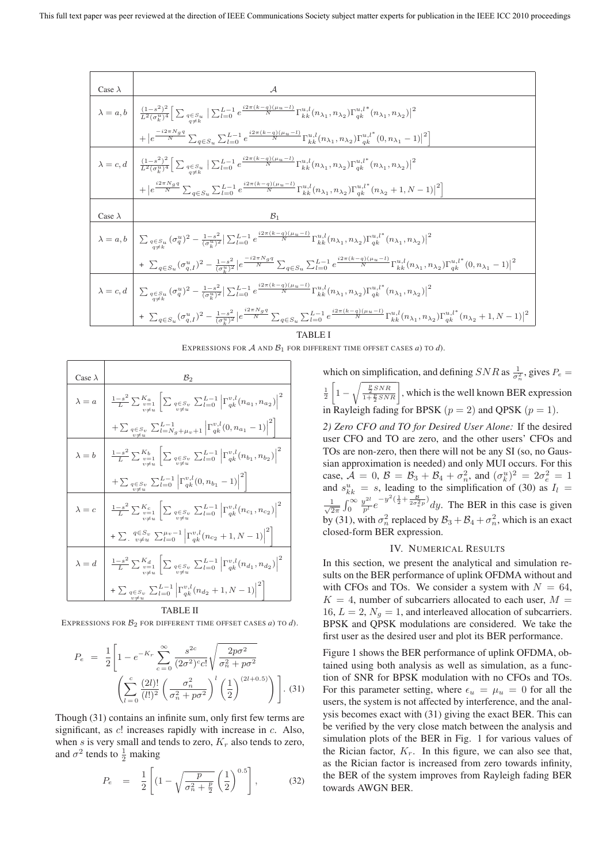Case <sup>λ</sup> *<sup>A</sup>* <sup>λ</sup> <sup>=</sup> a, b (1−s2)<sup>2</sup> L2(σ*<sup>u</sup> <sup>k</sup>* )<sup>4</sup> *<sup>q</sup>*∈*Su <sup>q</sup>*=*<sup>k</sup>* L−<sup>1</sup> <sup>l</sup>=0 <sup>e</sup> *i*2*π*(*k*−*q*)(*μu*−*l*) *<sup>N</sup>* Γu,l kk (nλ<sup>1</sup> , nλ<sup>2</sup> )Γu,l qk ∗ (nλ<sup>1</sup> , nλ<sup>2</sup> ) 2 + e −*i*2*πNgq N* q∈S*<sup>u</sup>* L−<sup>1</sup> <sup>l</sup>=0 <sup>e</sup> *i*2*π*(*k*−*q*)(*μu*−*l*) *<sup>N</sup>* Γu,l kk (nλ<sup>1</sup> , nλ<sup>2</sup> )Γu,l<sup>∗</sup> qk (0, nλ<sup>1</sup> *<sup>−</sup>* 1) 2 <sup>λ</sup> <sup>=</sup> c, d (1−s2)<sup>2</sup> L2(σ*<sup>u</sup> <sup>k</sup>* )<sup>4</sup> *<sup>q</sup>*∈*Su <sup>q</sup>*=*<sup>k</sup>* L−<sup>1</sup> <sup>l</sup>=0 <sup>e</sup> *i*2*π*(*k*−*q*)(*μu*−*l*) *<sup>N</sup>* Γu,l kk (nλ<sup>1</sup> , nλ<sup>2</sup> )Γu,l<sup>∗</sup> qk (nλ<sup>1</sup> , nλ<sup>2</sup> ) 2 + e *i*2*πNgq N* q∈S*<sup>u</sup>* L−<sup>1</sup> <sup>l</sup>=0 <sup>e</sup> *i*2*π*(*k*−*q*)(*μu*−*l*) *<sup>N</sup>* Γu,l kk (nλ<sup>1</sup> , nλ<sup>2</sup> )Γu,l<sup>∗</sup> qk (nλ<sup>2</sup> + 1, N *<sup>−</sup>* 1) 2 Case <sup>λ</sup> *<sup>B</sup>*<sup>1</sup> <sup>λ</sup> <sup>=</sup> a, b *<sup>q</sup>*∈*Su <sup>q</sup>*=*<sup>k</sup>* (σ<sup>u</sup> <sup>q</sup> )<sup>2</sup> *<sup>−</sup>* <sup>1</sup>−s<sup>2</sup> (σ*<sup>u</sup> <sup>k</sup>* )<sup>2</sup> L−<sup>1</sup> <sup>l</sup>=0 <sup>e</sup> *i*2*π*(*k*−*q*)(*μu*−*l*) *<sup>N</sup>* Γu,l kk (nλ<sup>1</sup> , nλ<sup>2</sup> )Γu,l<sup>∗</sup> qk (nλ<sup>1</sup> , nλ<sup>2</sup> ) 2 + <sup>q</sup>∈S*<sup>u</sup>* (σ<sup>u</sup> q,I )<sup>2</sup> *<sup>−</sup>* <sup>1</sup>−s<sup>2</sup> (σ*<sup>u</sup> <sup>k</sup>* )<sup>2</sup> e −*i*2*πNgq N* q∈S*<sup>u</sup>* L−<sup>1</sup> <sup>l</sup>=0 <sup>e</sup> *i*2*π*(*k*−*q*)(*μu*−*l*) *<sup>N</sup>* Γu,l kk (nλ<sup>1</sup> , nλ<sup>2</sup> )Γu,l<sup>∗</sup> qk (0, nλ<sup>1</sup> *<sup>−</sup>* 1) 2 <sup>λ</sup> <sup>=</sup> c, d *<sup>q</sup>*∈*Su <sup>q</sup>*=*<sup>k</sup>* (σ<sup>u</sup> <sup>q</sup> )<sup>2</sup> *<sup>−</sup>* <sup>1</sup>−s<sup>2</sup> (σ*<sup>u</sup> <sup>k</sup>* )<sup>2</sup> L−<sup>1</sup> <sup>l</sup>=0 <sup>e</sup> *i*2*π*(*k*−*q*)(*μu*−*l*) *<sup>N</sup>* Γu,l kk (nλ<sup>1</sup> , nλ<sup>2</sup> )Γu,l<sup>∗</sup> qk (nλ<sup>1</sup> , nλ<sup>2</sup> ) 2 + <sup>q</sup>∈S*<sup>u</sup>* (σ<sup>u</sup> q,I )<sup>2</sup> *<sup>−</sup>* <sup>1</sup>−s<sup>2</sup> (σ*<sup>u</sup> <sup>k</sup>* )<sup>2</sup> e *i*2*πNgq N* q∈S*<sup>u</sup>* L−<sup>1</sup> <sup>l</sup>=0 <sup>e</sup> *i*2*π*(*k*−*q*)(*μu*−*l*) *<sup>N</sup>* Γu,l kk (nλ<sup>1</sup> , nλ<sup>2</sup> )Γu,l<sup>∗</sup> qk (nλ<sup>2</sup> + 1, N *<sup>−</sup>* 1) 2

TABLE I

EXPRESSIONS FOR  $A$  AND  $B_1$  FOR DIFFERENT TIME OFFSET CASES *a*) TO *d*).

Case 
$$
\lambda
$$
  
\n
$$
\lambda = a \t \frac{1-s^2}{L} \sum_{\substack{v=1 \ v \neq u}}^{K_a} \left[ \sum_{\substack{q \in S_v \ q \neq u}} \sum_{L=0}^{L-1} \left| \Gamma_{q_k}^{v,l}(n_{a_1}, n_{a_2}) \right|^2 + \sum_{\substack{q \in S_v \ v \neq u}} \sum_{L=1}^{L-1} \sum_{g+u} \left| \Gamma_{q_k}^{v,l}(0, n_{a_1} - 1) \right|^2 \right]
$$
\n
$$
\lambda = b \t \frac{1-s^2}{L} \sum_{\substack{v=1 \ v \neq u}}^{K_b} \left[ \sum_{\substack{q \in S_v \ p \neq u}} \sum_{L=0}^{L-1} \left| \Gamma_{q_k}^{v,l}(n_{b_1}, n_{b_2}) \right|^2 + \sum_{\substack{q \in S_v \ v \neq u}} \sum_{L=0}^{L-1} \left| \Gamma_{q_k}^{v,l}(0, n_{b_1} - 1) \right|^2 \right]
$$
\n
$$
\lambda = c \t \frac{1-s^2}{L} \sum_{\substack{v=1 \ v \neq u}}^{K_c} \left[ \sum_{\substack{q \in S_v \ p \neq u}} \sum_{L=0}^{L-1} \left| \Gamma_{q_k}^{v,l}(n_{c_1}, n_{c_2}) \right|^2 + \sum_{\substack{q \in S_v \ v \neq u}} \sum_{L=0}^{L-1} \left| \Gamma_{q_k}^{v,l}(n_{c_2} + 1, N - 1) \right|^2 \right]
$$
\n
$$
\lambda = d \t \frac{1-s^2}{L} \sum_{\substack{v=1 \ v \neq u}}^{K_d} \left[ \sum_{\substack{q \in S_v \ p \neq u}} \sum_{L=0}^{L-1} \left| \Gamma_{q_k}^{v,l}(n_{d_2} + 1, N - 1) \right|^2 \right]
$$
\n
$$
+ \sum_{\substack{q \in S_v \ v \neq u}} \sum_{L=0}^{L-1} \left| \Gamma_{q_k}^{v,l}(n_{d_2} + 1, N - 1) \right|^2
$$

TABLE II

EXPRESSIONS FOR *B*<sup>2</sup> FOR DIFFERENT TIME OFFSET CASES *a*) TO *d*).

$$
P_e = \frac{1}{2} \left[ 1 - e^{-K_r} \sum_{c=0}^{\infty} \frac{s^{2c}}{(2\sigma^2)^c c!} \sqrt{\frac{2p\sigma^2}{\sigma_n^2 + p\sigma^2}} \left( \sum_{l=0}^{c} \frac{(2l)!}{(l!)^2} \left( \frac{\sigma_n^2}{\sigma_n^2 + p\sigma^2} \right)^l \left( \frac{1}{2} \right)^{(2l+0.5)} \right) \right].
$$
 (31)

Though (31) contains an infinite sum, only first few terms are significant, as  $c!$  increases rapidly with increase in  $c$ . Also, when s is very small and tends to zero,  $K_r$  also tends to zero, and  $\sigma^2$  tends to  $\frac{1}{2}$  making

$$
P_e = \frac{1}{2} \left[ \left( 1 - \sqrt{\frac{p}{\sigma_n^2 + \frac{p}{2}}} \left( \frac{1}{2} \right)^{0.5} \right],
$$
 (32)

which on simplification, and defining  $SNR$  as  $\frac{1}{\sigma_n^2}$ , gives  $P_e$  =  $\frac{1}{2}$  $\Big[1 \sqrt{\frac{\frac{p}{2}SNR}{1+\frac{p}{2}SNR}}$ , which is the well known BER expression in Rayleigh fading for BPSK ( $p = 2$ ) and QPSK ( $p = 1$ ).

*2) Zero CFO and TO for Desired User Alone:* If the desired user CFO and TO are zero, and the other users' CFOs and TOs are non-zero, then there will not be any SI (so, no Gaussian approximation is needed) and only MUI occurs. For this case,  $\mathcal{A} = 0$ ,  $\mathcal{B} = \mathcal{B}_3 + \mathcal{B}_4 + \sigma_n^2$ , and  $(\sigma_k^u)^2 = 2\sigma_e^2 = 1$ and  $s_{kk}^u = s$ , leading to the simplification of (30) as  $I_l =$  $\frac{1}{\sqrt{2}}$  $rac{1}{2\pi}$   $\int_0^\infty$  $\frac{y^{2l}}{p^l}e^{-y^2(\frac{1}{2}+\frac{B}{2\sigma_e^2 p})}dy$ . The BER in this case is given by (31), with  $\sigma_n^2$  replaced by  $\mathcal{B}_3 + \mathcal{B}_4 + \sigma_n^2$ , which is an exact closed-form BER expression.

#### IV. NUMERICAL RESULTS

In this section, we present the analytical and simulation results on the BER performance of uplink OFDMA without and with CFOs and TOs. We consider a system with  $N = 64$ ,  $K = 4$ , number of subcarriers allocated to each user,  $M =$ 16,  $L = 2$ ,  $N_a = 1$ , and interleaved allocation of subcarriers. BPSK and QPSK modulations are considered. We take the first user as the desired user and plot its BER performance.

Figure 1 shows the BER performance of uplink OFDMA, obtained using both analysis as well as simulation, as a function of SNR for BPSK modulation with no CFOs and TOs. For this parameter setting, where  $\epsilon_u = \mu_u = 0$  for all the users, the system is not affected by interference, and the analysis becomes exact with (31) giving the exact BER. This can be verified by the very close match between the analysis and simulation plots of the BER in Fig. 1 for various values of the Rician factor,  $K_r$ . In this figure, we can also see that, as the Rician factor is increased from zero towards infinity, the BER of the system improves from Rayleigh fading BER towards AWGN BER.